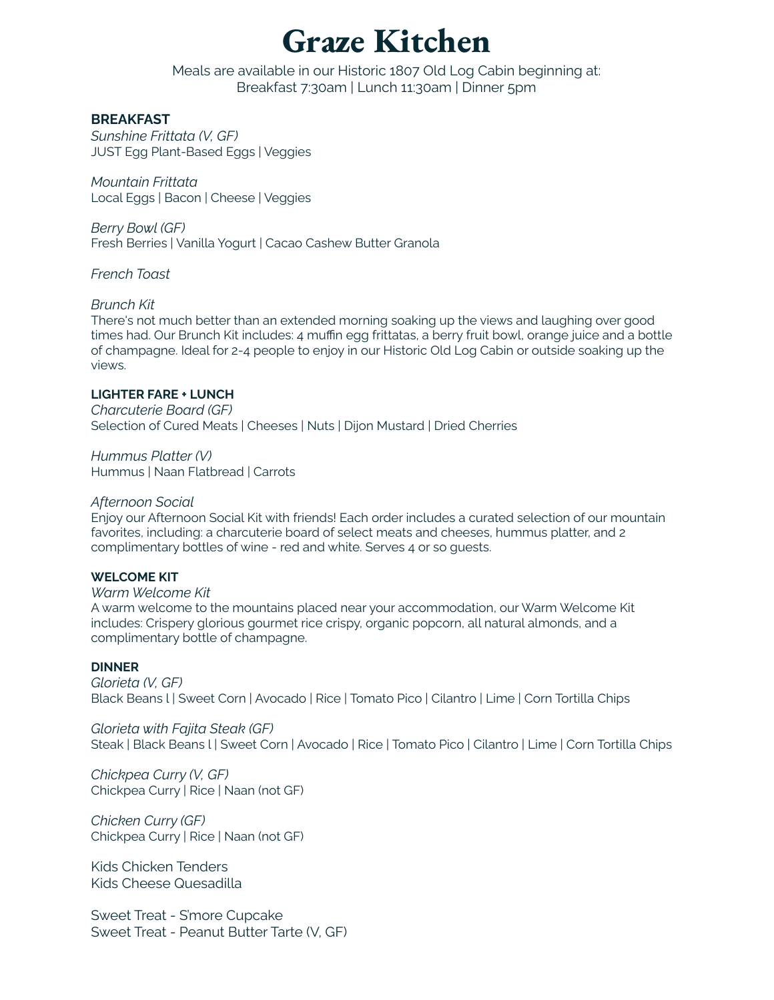# **Graze Kitchen**

Meals are available in our Historic 1807 Old Log Cabin beginning at: Breakfast 7:30am | Lunch 11:30am | Dinner 5pm

# **BREAKFAST**

*Sunshine Frittata (V, GF)* JUST Egg Plant-Based Eggs | Veggies

*Mountain Frittata* Local Eggs | Bacon | Cheese | Veggies

*Berry Bowl (GF)* Fresh Berries | Vanilla Yogurt | Cacao Cashew Butter Granola

*French Toast*

## *Brunch Kit*

There's not much better than an extended morning soaking up the views and laughing over good times had. Our Brunch Kit includes: 4 muffin egg frittatas, a berry fruit bowl, orange juice and a bottle of champagne. Ideal for 2-4 people to enjoy in our Historic Old Log Cabin or outside soaking up the views.

# **LIGHTER FARE + LUNCH**

*Charcuterie Board (GF)* Selection of Cured Meats | Cheeses | Nuts | Dijon Mustard | Dried Cherries

*Hummus Platter (V)* Hummus | Naan Flatbread | Carrots

### *Afternoon Social*

Enjoy our Afternoon Social Kit with friends! Each order includes a curated selection of our mountain favorites, including: a charcuterie board of select meats and cheeses, hummus platter, and 2 complimentary bottles of wine - red and white. Serves 4 or so guests.

### **WELCOME KIT**

*Warm Welcome Kit*

A warm welcome to the mountains placed near your accommodation, our Warm Welcome Kit includes: Crispery glorious gourmet rice crispy, organic popcorn, all natural almonds, and a complimentary bottle of champagne.

### **DINNER**

*Glorieta (V, GF)* Black Beans I | Sweet Corn | Avocado | Rice | Tomato Pico | Cilantro | Lime | Corn Tortilla Chips

*Glorieta with Fajita Steak (GF)* Steak | Black Beans l | Sweet Corn | Avocado | Rice | Tomato Pico | Cilantro | Lime | Corn Tortilla Chips

*Chickpea Curry (V, GF)* Chickpea Curry | Rice | Naan (not GF)

*Chicken Curry (GF)* Chickpea Curry | Rice | Naan (not GF)

Kids Chicken Tenders Kids Cheese Quesadilla

Sweet Treat - S'more Cupcake Sweet Treat - Peanut Butter Tarte (V, GF)